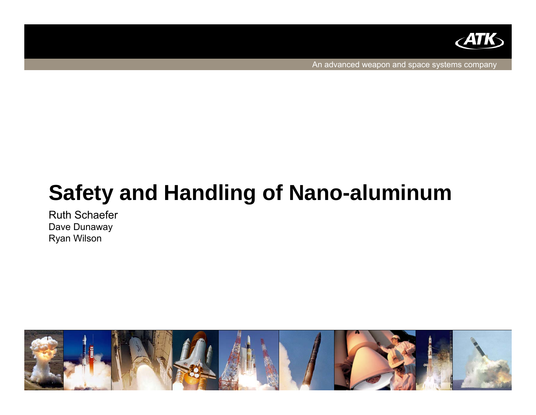

An advanced weapon and space systems company

# **Safety and Handling of Nano-aluminum**

Ruth SchaeferDave Dunaway Ryan Wilson

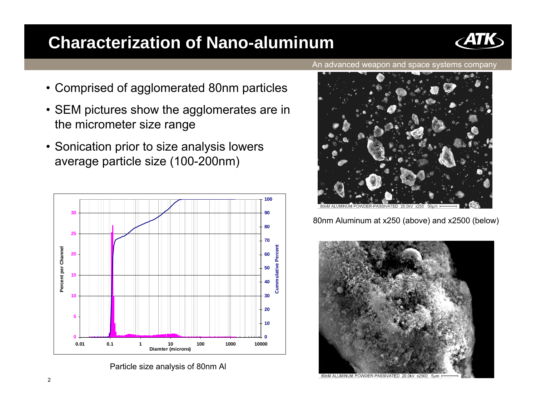### **Characterization of Nano-aluminum**



- SEM pictures show the agglomerates are in the micrometer size range
- Sonication prior to size analysis lowers average particle size (100-200nm)



Particle size analysis of 80nm Al





80nm Aluminum at x250 (above) and x2500 (below)



80nM ALUMINUM POWDER-PASSIVATED 20.0kV x2500 5um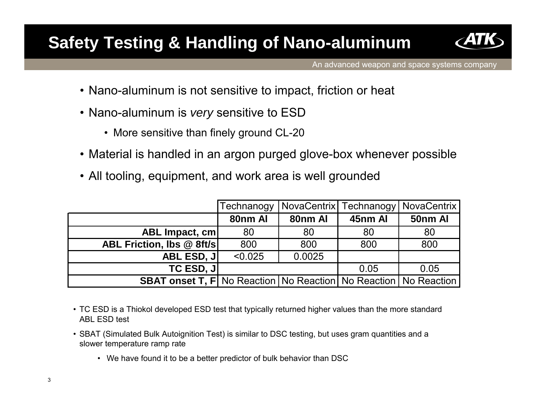### **Safety Testing & Handling of Nano-aluminum**



An advanced weapon and space systems company

- Nano-aluminum is not sensitive to impact, friction or heat
- Nano-aluminum is *very* sensitive to ESD
	- More sensitive than finely ground CL-20
- Material is handled in an argon purged glove-box whenever possible
- All tooling, equipment, and work area is well grounded

|                                                                               | Technanogy |         |         | NovaCentrix Technanogy   NovaCentrix |
|-------------------------------------------------------------------------------|------------|---------|---------|--------------------------------------|
|                                                                               | 80nm Al    | 80nm Al | 45nm Al | 50nm Al                              |
| ABL Impact, cm                                                                | 80         | 80      | 80      | 80                                   |
| ABL Friction, Ibs @ 8ft/s                                                     | 800        | 800     | 800     | 800                                  |
| <b>ABL ESD, J </b>                                                            | < 0.025    | 0.0025  |         |                                      |
| <b>TC ESD, JI</b>                                                             |            |         | 0.05    | 0.05                                 |
| <b>SBAT onset T, F  No Reaction   No Reaction   No Reaction   No Reaction</b> |            |         |         |                                      |

- TC ESD is a Thiokol developed ESD test that typically returned higher values than the more standard ABL ESD test
- SBAT (Simulated Bulk Autoignition Test) is similar to DSC testing, but uses gram quantities and a slower temperature ramp rate
	- We have found it to be a better predictor of bulk behavior than DSC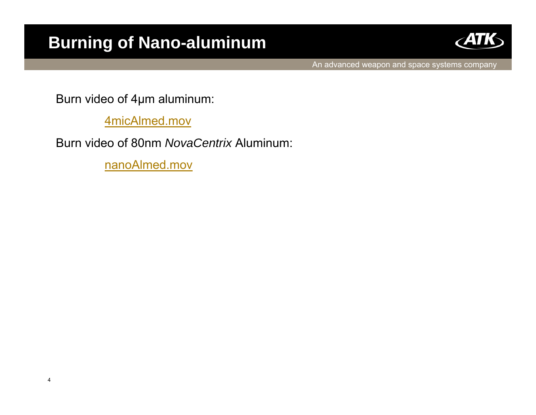### **Burning of Nano-aluminum**



An advanced weapon and space systems company

Burn video of 4µm aluminum:

4micAlmed.mov

Burn video of 80nm *NovaCentrix* Aluminum:

nanoAlmed.mov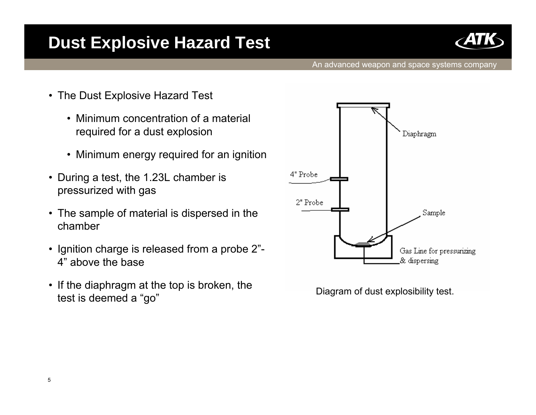### **Dust Explosive Hazard Test**



- The Dust Explosive Hazard Test
	- Minimum concentration of a material required for a dust explosion
	- Minimum energy required for an ignition
- $\bullet$  During a test, the 1.23L chamber is pressurized with gas
- The sample of material is dispersed in the chamber
- Ignition charge is released from a probe 2"- 4" above the base
- $\bullet$  If the diaphragm at the top is broken, the test is deemed a "go" b broken, the contract of Diagram of dust explosibility test.

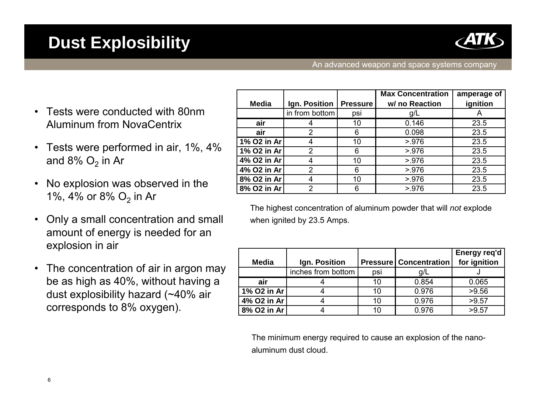

#### **Dust Explosibility**

An advanced weapon and space systems company

- • Tests were conducted with 80nm Aluminum from NovaCentrix
- • Tests were performed in air, 1%, 4% and 8%  $\mathrm{O}_2$  in Ar
- • No explosion was observed in the 1%, 4% or 8% O<sub>2</sub> in Ar
- • Only a small concentration and small amount of energy is needed for an explosion in air
- • The concentration of air in argon may be as high as 40%, without having a dust explosibility hazard (~40% air corresponds to 8% oxygen).

|              |                |                 | <b>Max Concentration</b> | amperage of |
|--------------|----------------|-----------------|--------------------------|-------------|
| <b>Media</b> | Ign. Position  | <b>Pressure</b> | w/ no Reaction           | ignition    |
|              | in from bottom | psi             | g/L                      |             |
| air          |                | 10              | 0.146                    | 23.5        |
| air          | 2              | 6               | 0.098                    | 23.5        |
| 1% O2 in Ar  |                | 10              | > 976                    | 23.5        |
| 1% O2 in Ar  | $\mathcal{P}$  | 6               | > 976                    | 23.5        |
| 4% O2 in Ar  |                | 10              | 5.976                    | 23.5        |
| 4% O2 in Ar  | 2              | 6               | 5.976                    | 23.5        |
| 8% O2 in Ar  |                | 10              | 5.976                    | 23.5        |
| 8% O2 in Ar  | っ              | 6               | > 976                    | 23.5        |

The highest concentration of aluminum powder that will *not* explode when ignited by 23.5 Amps.

|              |                    |     |                                 | Energy req'd |
|--------------|--------------------|-----|---------------------------------|--------------|
| <b>Media</b> | Ign. Position      |     | <b>Pressure   Concentration</b> | for ignition |
|              | inches from bottom | psi | g/L                             |              |
| air          |                    |     | 0.854                           | 0.065        |
| 1% O2 in Ar  |                    | 10. | 0.976                           | >9.56        |
| 4% O2 in Ar  |                    | 10  | 0.976                           | >9.57        |
| 8% O2 in Ar  |                    |     | 0.976                           | >9.57        |

The minimum energy required to cause an explosion of the nanoaluminum dust cloud.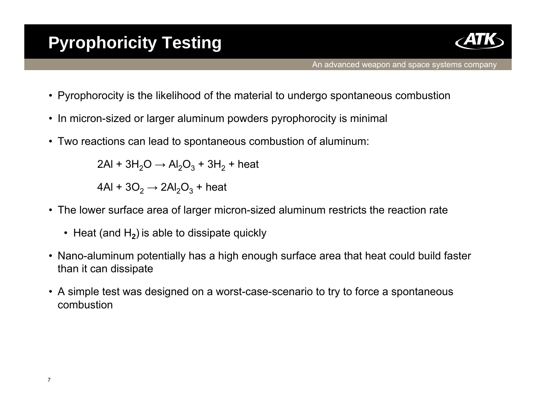

- Pyrophorocity is the likelihood of the material to undergo spontaneous combustion
- In micron-sized or larger aluminum powders pyrophorocity is minimal
- Two reactions can lead to spontaneous combustion of aluminum:

2Al + 3H $_2$ O  $\rightarrow$  Al $_2$ O $_3$  + 3H $_2$  + heat

4Al + 3O $_2$   $\rightarrow$  2Al $_2$ O $_3$  + heat

- The lower surface area of larger micron-sized aluminum restricts the reaction rate
	- Heat (and H<sub>2</sub>) is able to dissipate quickly
- Nano-aluminum potentially has a high enough surface area that heat could build faster than it can dissipate
- A simple test was designed on a worst-case-scenario to try to force a spontaneous combustion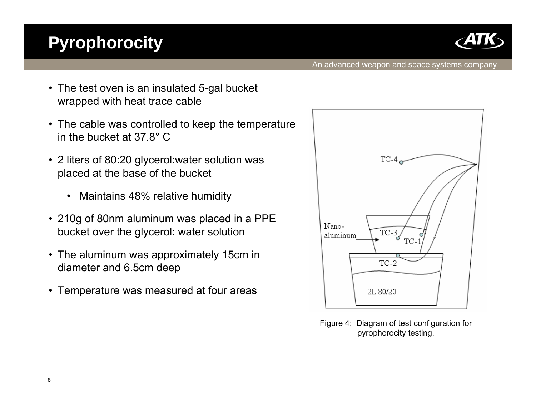## **Pyrophorocity**



- The test oven is an insulated 5-gal bucket wrapped with heat trace cable
- The cable was controlled to keep the temperature in the bucket at 37.8°C
- 2 liters of 80:20 glycerol:water solution was placed at the base of the bucket
	- $\bullet$ Maintains 48% relative humidity
- 210g of 80nm aluminum was placed in a PPE bucket over the glycerol: water solution
- The aluminum was approximately 15cm in diameter and 6.5cm deep
- Temperature was measured at four areas



Figure 4: Diagram of test configuration for pyrophorocity testing.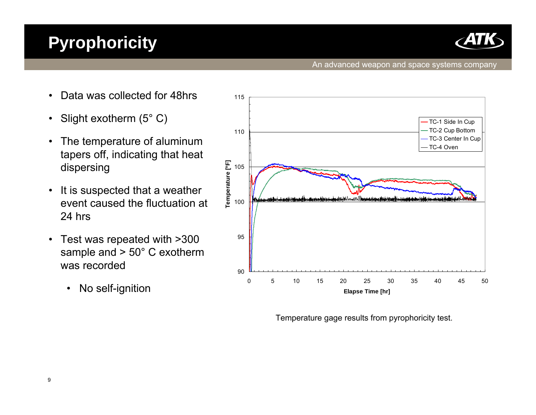

#### An advanced weapon and space systems company

- •Data was collected for 48hrs
- •Slight exotherm (5° C)
- • The temperature of aluminum tapers off, indicating that heat dispersing
- • It is suspected that a weather event caused the fluctuation at 24 hrs
- • Test was repeated with >300 sample and > 50° C exotherm was recorded
	- $\bullet$ No self-ignition



Temperature gage results from pyrophoricity test.